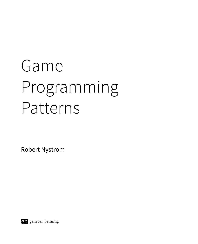# Game Programming Patterns

Robert Nystrom

go genever benning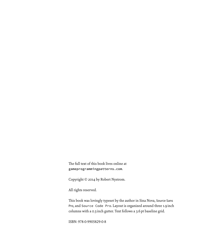The full text of this book lives online at gameprogrammingpatterns.com.

Copyright © 2014 by Robert Nystrom.

All rights reserved.

This book was lovingly typeset by the author in Sina Nova, Source Sans Pro, and Source Code Pro. Layout is organized around three 1.9inch columns with a 0.3 inch gutter. Text follows a 3.6 pt baseline grid.

ISBN: 978-0-9905829-0-8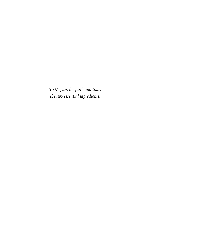*To Megan, for faith and time, the two essential ingredients.*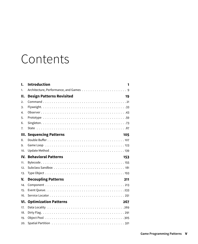### Contents

| Ι.  | <b>Introduction</b><br>1               |
|-----|----------------------------------------|
| 1.  |                                        |
| н.  | <b>Design Patterns Revisited</b><br>19 |
| 2.  |                                        |
| 3.  |                                        |
| 4.  |                                        |
| 5.  |                                        |
| 6.  |                                        |
| 7.  |                                        |
|     | <b>III. Sequencing Patterns</b><br>105 |
| 8.  |                                        |
| 9.  |                                        |
| 10. |                                        |
|     |                                        |
| IV. | <b>Behavioral Patterns</b><br>153      |
| 11. |                                        |
| 12. |                                        |
| 13. |                                        |
| V.  | <b>Decoupling Patterns</b><br>211      |
| 14. |                                        |
| 15. |                                        |
| 16. |                                        |
| VI. | <b>Optimization Patterns</b><br>267    |
| 17. |                                        |
| 18. |                                        |
| 19. |                                        |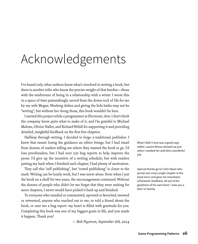# Acknowledgements

I've heard only other authors know what's involved in writing a book, but there is another tribe who know the precise weight of that burden—those with the misfortune of being in a relationship with a writer. I wrote this in a space of time painstakingly carved from the dense rock of life for me by my wife Megan. Washing dishes and giving the kids baths may not be "writing", but without her doing those, this book wouldn't be here.

I started this project while a programmer at Electronic Arts. I don't think the company knew quite what to make of it, and I'm grateful to Michael Malone, Olivier Nallet, and Richard Wifall for supporting it and providing detailed, insightful feedback on the first few chapters.

Halfway through writing, I decided to forgo a traditional publisher. I knew that meant losing the guidance an editor brings, but I had email from dozens of readers telling me where they wanted the book to go. I'd lose proofreaders, but I had over 250 bug reports to help improve the prose. I'd give up the incentive of a writing schedule, but with readers patting my back when I finished each chapter, I had plenty of motivation.

They call this "self publishing", but "crowd publishing" is closer to the mark. Writing can be lonely work, but I was never alone. Even when I put the book on a shelf for two years, the encouragement continued. Without the dozens of people who didn't let me forget that they were waiting for more chapters, I never would have picked it back up and finished.

To everyone who emailed or commented, upvoted or favorited, tweeted or retweeted, anyone who reached out to me, or told a friend about the book, or sent me a bug report: my heart is filled with gratitude for you. Completing this book was one of my biggest goals in life, and you made it happen. Thank you!

*— Bob Nystrom, September 6th, 2014*

What I didn't lose was a good copy editor. Lauren Briese showed up just when I needed her and did a wonderful iob.

Special thanks go to Colm Sloan who pored over every single chapter in the book *twice* and gave me mountains of fantastic feedback, all out of the goodness of his own heart. I owe you a beer or twenty.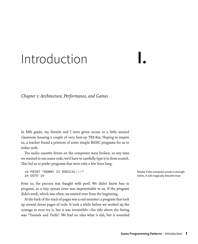# Introduction **I.**

*Chapter 1: Architecture, Performance, and Games*

In fifth grade, my friends and I were given access to a little unused classroom housing a couple of very beat-up TRS-80s. Hoping to inspire us, a teacher found a printout of some simple BASIC programs for us to tinker with.

The audio cassette drives on the computers were broken, so any time we wanted to run some code, we'd have to carefully type it in from scratch. This led us to prefer programs that were only a few lines long:

```
10 PRINT "BOBBY IS RADICAL!!!"
20 GOTO 10
```
Even so, the process was fraught with peril. We didn't know *how* to program, so a tiny syntax error was impenetrable to us. If the program didn't work, which was often, we started over from the beginning.

At the back of the stack of pages was a real monster: a program that took up several dense pages of code. It took a while before we worked up the courage to even try it, but it was irresistible—the title above the listing was "Tunnels and Trolls". We had no idea what it did, but it sounded Maybe if the computer prints it enough times, it will magically become true.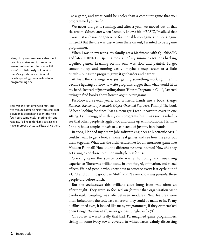Many of my summers were also spent catching snakes and turtles in the swamps of southern Louisiana. If it wasn't so blisteringly hot outside, there's a good chance this would be a herpetology book instead of a programming one.

This was the first time we'd met, and five minutes after being introduced, I sat down on his couch and spent the next few hours completely ignoring him and reading. I'd like to think my social skills have improved at least a little since then. like a game, and what could be cooler than a computer game that you programmed yourself?

We never did get it running, and after a year, we moved out of that classroom. (Much later when I actually knew a bit of BASIC, I realized that it was just a character generator for the table-top game and not a game in itself.) But the die was cast—from there on out, I wanted to be a game programmer.

When I was in my teens, my family got a Macintosh with QuickBASIC and later THINK C. I spent almost all of my summer vacations hacking together games. Learning on my own was slow and painful. I'd get something up and running easily—maybe a map screen or a little puzzle—but as the program grew, it got harder and harder.

At first, the challenge was just getting something working. Then, it became figuring out how to write programs bigger than what would fit in my head. Instead of just reading about "How to Program in C++", I started trying to find books about how to *organize* programs.

Fast-forward several years, and a friend hands me a book: *Design Patterns: Elements of Reusable Object-Oriented Software*. Finally! The book I'd been looking for since I was a teenager. I read it cover to cover in one sitting. I still struggled with my own programs, but it was such a relief to see that other people struggled too and came up with solutions. I felt like I finally had a couple of *tools* to use instead of just my bare hands.

In 2001, I landed my dream job: software engineer at Electronic Arts. I couldn't wait to get a look at some real games and see how the pros put them together. What was the architecture like for an enormous game like Madden Football? How did the different systems interact? How did they get a single codebase to run on multiple platforms?

Cracking open the source code was a humbling and surprising experience. There was brilliant code in graphics, AI, animation, and visual effects. We had people who knew how to squeeze every last cycle out of a CPU and put it to good use. Stuff I didn't even know was *possible*, these people did before lunch.

But the *architecture* this brilliant code hung from was often an afterthought. They were so focused on *features* that organization went overlooked. Coupling was rife between modules. New features were often bolted onto the codebase wherever they could be made to fit. To my disillusioned eyes, it looked like many programmers, if they ever cracked open *Design Patterns* at all, never got past Singleton (p. 73).

Of course, it wasn't really that bad. I'd imagined game programmers sitting in some ivory tower covered in whiteboards, calmly discussing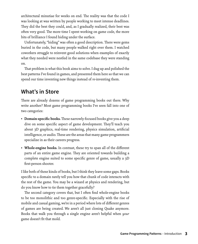architectural minutiae for weeks on end. The reality was that the code I was looking at was written by people working to meet intense deadlines. They did the best they could, and, as I gradually realized, their best was often very good. The more time I spent working on game code, the more bits of brilliance I found hiding under the surface.

Unfortunately, "hiding" was often a good description. There were gems buried in the code, but many people walked right over them. I watched coworkers struggle to reinvent good solutions when examples of exactly what they needed were nestled in the same codebase they were standing on.

That problem is what this book aims to solve. I dug up and polished the best patterns I've found in games, and presented them here so that we can spend our time inventing new things instead of *re*-inventing them.

#### **What's in Store**

There are already dozens of game programming books out there. Why write another? Most game programming books I've seen fall into one of two categories:

- **Domain-specific books.** These narrowly-focused books give you a deep dive on some specific aspect of game development. They'll teach you about 3D graphics, real-time rendering, physics simulation, artificial intelligence, or audio. These are the areas that many game programmers specialize in as their careers progress.
- **Whole-engine books.** In contrast, these try to span all of the different parts of an entire game engine. They are oriented towards building a complete engine suited to some specific genre of game, usually a 3D first-person shooter.

I like both of these kinds of books, but I think they leave some gaps. Books specific to a domain rarely tell you how that chunk of code interacts with the rest of the game. You may be a wizard at physics and rendering, but do you know how to tie them together gracefully?

The second category covers that, but I often find whole-engine books to be too monolithic and too genre-specific. Especially with the rise of mobile and casual gaming, we're in a period where lots of different genres of games are being created. We aren't all just cloning Quake anymore. Books that walk you through a single engine aren't helpful when *your* game doesn't fit that mold.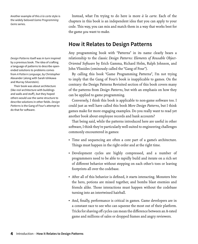Another example of this *à la carte* style is the widely beloved *Game Programming Gems* series.

*Design Patterns* itself was in turn inspired by a previous book. The idea of crafting a language of patterns to describe openended solutions to problems comes from *A Pattern Language*, by Christopher Alexander (along with Sarah Ishikawa and Murray Silverstein).

Their book was about architecture (like *real* architecture with buildings and walls and stuff), but they hoped others would use the same structure to describe solutions in other fields. *Design Patterns* is the Gang of Four's attempt to do that for software.

Instead, what I'm trying to do here is more *à la carte*. Each of the chapters in this book is an independent idea that you can apply to your code. This way, you can mix and match them in a way that works best for the game *you* want to make.

#### **How it Relates to Design Patterns**

Any programming book with "Patterns" in its name clearly bears a relationship to the classic *Design Patterns: Elements of Reusable Object-Oriented Software* by Erich Gamma, Richard Helm, Ralph Johnson, and John Vlissides (ominously called the "Gang of Four").

By calling this book "Game Programming Patterns", I'm not trying to imply that the Gang of Four's book is inapplicable to games. On the contrary: the Design Patterns Revisited section of this book covers many of the patterns from *Design Patterns*, but with an emphasis on how they can be applied to game programming.

Conversely, I think this book is applicable to non-game software too. I could just as well have called this book *More Design Patterns*, but I think games make for more engaging examples. Do you really want to read yet another book about employee records and bank accounts?

That being said, while the patterns introduced here are useful in other software, I think they're particularly well-suited to engineering challenges commonly encountered in games:

- Time and sequencing are often a core part of a game's architecture. Things must happen in the right order and at the right time.
- Development cycles are highly compressed, and a number of programmers need to be able to rapidly build and iterate on a rich set of different behavior without stepping on each other's toes or leaving footprints all over the codebase.
- After all of this behavior is defined, it starts interacting. Monsters bite the hero, potions are mixed together, and bombs blast enemies and friends alike. Those interactions must happen without the codebase turning into an intertwined hairball.
- And, finally, performance is critical in games. Game developers are in a constant race to see who can squeeze the most out of their platform. Tricks for shaving off cycles can mean the difference between an A-rated game and millions of sales or dropped frames and angry reviewers.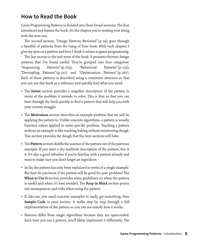#### **How to Read the Book**

*Game Programming Patterns* is divided into three broad sections. The first introduces and frames the book. It's the chapter you're reading now along with the next one.

The second section, "Design Patterns Revisited" (p.19), goes through a handful of patterns from the Gang of Four book. With each chapter, I give my spin on a pattern and how I think it relates to game programming.

The last section is the real meat of the book. It presents thirteen design patterns that I've found useful. They're grouped into four categories: "Sequencing Patterns" (p.105), "Behavioral Patterns" (p.153), "Decoupling Patterns" (p. 211), and "Optimization Patterns" (p. 267). Each of these patterns is described using a consistent structure so that you can use this book as a reference and quickly find what you need:

- The **Intent** section provides a snapshot description of the pattern in terms of the problem it intends to solve. This is first so that you can hunt through the book quickly to find a pattern that will help you with your current struggle.
- The **Motivation** section describes an example problem that we will be applying the pattern to. Unlike concrete algorithms, a pattern is usually formless unless applied to some specific problem. Teaching a pattern without an example is like teaching baking without mentioning dough. This section provides the dough that the later sections will bake.
- The **Pattern** section distills the essence of the pattern out of the previous example. If you want a dry textbook description of the pattern, this is it. It's also a good refresher if you're familiar with a pattern already and want to make sure you don't forget an ingredient.
- So far, the pattern has only been explained in terms of a single example. But how do you know if the pattern will be good for *your* problem? The **When to Use It** section provides some guidelines on when the pattern is useful and when it's best avoided. The **Keep in Mind** section points out consequences and risks when using the pattern.
- If, like me, you need concrete examples to really *get* something, then **Sample Code** is your section. It walks step by step through a full implementation of the pattern so you can see exactly how it works.
- Patterns differ from single algorithms because they are open-ended. Each time you use a pattern, you'll likely implement it differently. The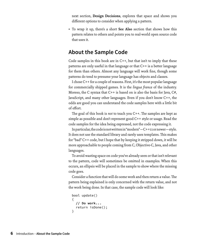next section, **Design Decisions**, explores that space and shows you different options to consider when applying a pattern.

• To wrap it up, there's a short **See Also** section that shows how this pattern relates to others and points you to real-world open source code that uses it.

#### **About the Sample Code**

Code samples in this book are in C++, but that isn't to imply that these patterns are only useful in that language or that C++ is a better language for them than others. Almost any language will work fine, though some patterns do tend to presume your language has objects and classes.

I chose C++ for a couple of reasons. First, it's the most popular language for commercially shipped games. It is the *lingua franca* of the industry. Moreso, the C syntax that C++ is based on is also the basis for Java, C#, JavaScript, and many other languages. Even if you don't know C++, the odds are good you can understand the code samples here with a little bit of effort.

The goal of this book is *not* to teach you C++. The samples are kept as simple as possible and don't represent good C++ style or usage. Read the code samples for the idea being expressed, not the code expressing it.

In particular, the code is not written in "modern"—C++11 or newer—style. It does not use the standard library and rarely uses templates. This makes for "bad" C++ code, but I hope that by keeping it stripped down, it will be more approachable to people coming from C, Objective-C, Java, and other languages.

To avoid wasting space on code you've already seen or that isn't relevant to the pattern, code will sometimes be omitted in examples. When this occurs, an ellipsis will be placed in the sample to show where the missing code goes.

Consider a function that will do some work and then return a value. The pattern being explained is only concerned with the return value, and not the work being done. In that case, the sample code will look like:

```
bool update()
{
   // Do work...
   return isDone();
}
```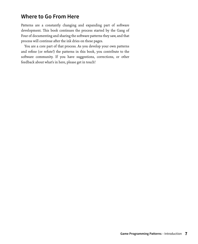#### **Where to Go From Here**

Patterns are a constantly changing and expanding part of software development. This book continues the process started by the Gang of Four of documenting and sharing the software patterns they saw, and that process will continue after the ink dries on these pages.

You are a core part of that process. As you develop your own patterns and refine (or refute!) the patterns in this book, you contribute to the software community. If you have suggestions, corrections, or other feedback about what's in here, please get in touch!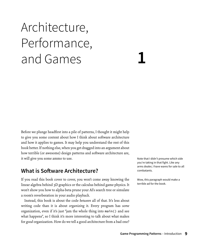# Architecture, Performance, and Games

Before we plunge headfirst into a pile of patterns, I thought it might help to give you some context about how I think about software architecture and how it applies to games. It may help you understand the rest of this book better. If nothing else, when you get dragged into an argument about how terrible (or awesome) design patterns and software architecture are, it will give you some ammo to use.

#### **What is Software Architecture?**

If you read this book cover to cover, you won't come away knowing the linear algebra behind 3D graphics or the calculus behind game physics. It won't show you how to alpha-beta prune your AI's search tree or simulate a room's reverberation in your audio playback.

Instead, this book is about the code *between* all of that. It's less about writing code than it is about *organizing* it. Every program has *some* organization, even if it's just "jam the whole thing into main() and see what happens", so I think it's more interesting to talk about what makes for *good* organization. How do we tell a good architecture from a bad one? Note that I didn't presume which side you're taking in that fight. Like any arms dealer, I have wares for sale to all combatants.

**1**

Wow, this paragraph would make a terrible ad for the book.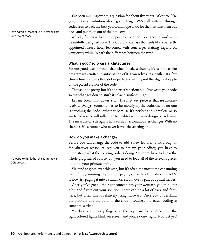Let's admit it, most of us are *responsible* for a few of those.

I've been mulling over this question for about five years. Of course, like you, I have an intuition about good design. We've all suffered through codebases so bad, the best you could hope to do for them is take them out back and put them out of their misery.

A lucky few have had the opposite experience, a chance to work with beautifully designed code. The kind of codebase that feels like a perfectly appointed luxury hotel festooned with concierges waiting eagerly on your every whim. What's the difference between the two?

#### **What is** *good* **software architecture?**

For me, good design means that when I make a change, it's as if the entire program was crafted in anticipation of it. I can solve a task with just a few choice function calls that slot in perfectly, leaving not the slightest ripple on the placid surface of the code.

That sounds pretty, but it's not exactly actionable. "Just write your code so that changes don't disturb its placid surface." Right.

Let me break that down a bit. The first key piece is that *architecture is about change*. Someone has to be modifying the codebase. If no one is touching the code—whether because it's perfect and complete or so wretched no one will sully their text editor with it—its design is irrelevant. The measure of a design is how easily it accommodates changes. With no changes, it's a runner who never leaves the starting line.

#### **How do you make a change?**

Before you can change the code to add a new feature, to fix a bug, or for whatever reason caused you to fire up your editor, you have to understand what the existing code is doing. You don't have to know the whole program, of course, but you need to load all of the relevant pieces of it into your primate brain.

We tend to gloss over this step, but it's often the most time-consuming part of programming. If you think paging some data from disk into RAM is slow, try paging it into a simian cerebrum over a pair of optical nerves.

Once you've got all the right context into your wetware, you think for a bit and figure out your solution. There can be a lot of back and forth here, but often this is relatively straightforward. Once you understand the problem and the parts of the code it touches, the actual coding is sometimes trivial.

You beat your meaty fingers on the keyboard for a while until the right colored lights blink on screen and you're done, right? Not just yet!

It's weird to think that this is literally an OCR process.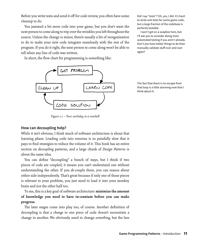Before you write tests and send it off for code review, you often have some cleanup to do.

You jammed a bit more code into your game, but you don't want the next person to come along to trip over the wrinkles you left throughout the source. Unless the change is minor, there's usually a bit of reorganization to do to make your new code integrate seamlessly with the rest of the program. If you do it right, the next person to come along won't be able to tell when any line of code was written.

In short, the flow chart for programming is something like:



*Figure 1.1 – Your workday in a nutshell*

Did I say "tests"? Oh, yes, I did. It's hard to write unit tests for some game code, but a large fraction of the codebase is perfectly testable.

I won't get on a soapbox here, but I'll ask you to consider doing more automated testing if you aren't already. Don't you have better things to do than manually validate stuff over and over again?

The fact that there is no escape from that loop is a little alarming now that I think about it.

#### **How can decoupling help?**

While it isn't obvious, I think much of software architecture is about that learning phase. Loading code into neurons is so painfully slow that it pays to find strategies to reduce the volume of it. This book has an entire section on *decoupling* patterns, and a large chunk of *Design Patterns* is about the same idea.

You can define "decoupling" a bunch of ways, but I think if two pieces of code are coupled, it means you can't understand one without understanding the other. If you *de-*couple them, you can reason about either side independently. That's great because if only one of those pieces is relevant to your problem, you just need to load *it* into your monkey brain and not the other half too.

To me, this is a key goal of software architecture: **minimize the amount of knowledge you need to have in-cranium before you can make progress.**

The later stages come into play too, of course. Another definition of decoupling is that a *change* to one piece of code doesn't necessitate a change to another. We obviously need to change *something*, but the less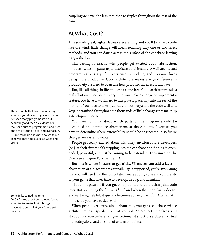coupling we have, the less that change ripples throughout the rest of the game.

#### **At What Cost?**

This sounds great, right? Decouple everything and you'll be able to code like the wind. Each change will mean touching only one or two select methods, and you can dance across the surface of the codebase leaving nary a shadow.

This feeling is exactly why people get excited about abstraction, modularity, design patterns, and software architecture. A well-architected program really is a joyful experience to work in, and everyone loves being more productive. Good architecture makes a *huge* difference in productivity. It's hard to overstate how profound an effect it can have.

But, like all things in life, it doesn't come free. Good architecture takes real effort and discipline. Every time you make a change or implement a feature, you have to work hard to integrate it gracefully into the rest of the program. You have to take great care to both organize the code well and *keep* it organized throughout the thousands of little changes that make up a development cycle.

You have to think about which parts of the program should be decoupled and introduce abstractions at those points. Likewise, you have to determine where extensibility should be engineered in so future changes are easier to make.

People get really excited about this. They envision future developers (or just their future self) stepping into the codebase and finding it openended, powerful, and just beckoning to be extended. They imagine The One Game Engine To Rule Them All.

But this is where it starts to get tricky. Whenever you add a layer of abstraction or a place where extensibility is supported, you're *speculating* that you will need that flexibility later. You're adding code and complexity to your game that takes time to develop, debug, and maintain.

That effort pays off if you guess right and end up touching that code later. But predicting the future is *hard*, and when that modularity doesn't end up being helpful, it quickly becomes actively harmful. After all, it is more code you have to deal with.

When people get overzealous about this, you get a codebase whose architecture has spiraled out of control. You've got interfaces and abstractions everywhere. Plug-in systems, abstract base classes, virtual methods galore, and all sorts of extension points.

The second half of this—maintaining your design—deserves special attention. I've seen many programs start out beautifully and then die a death of a thousand cuts as programmers add "just one tiny little hack" over and over again.

Like gardening, it's not enough to put in new plants. You must also weed and prune.

Some folks coined the term

"YAGNI"—You aren't gonna need it—as a mantra to use to fight this urge to speculate about what your future self may want.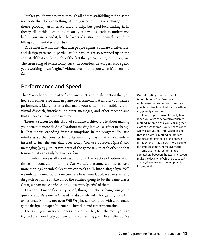It takes you forever to trace through all of that scaffolding to find some real code that does something. When you need to make a change, sure, there's probably an interface there to help, but good luck finding it. In theory, all of this decoupling means you have less code to understand before you can extend it, but the layers of abstraction themselves end up filling your mental scratch disk.

Codebases like this are what turn people *against* software architecture, and design patterns in particular. It's easy to get so wrapped up in the code itself that you lose sight of the fact that you're trying to ship a *game*. The siren song of extensibility sucks in countless developers who spend years working on an "engine" without ever figuring out what it's an engine *for*.

#### **Performance and Speed**

There's another critique of software architecture and abstraction that you hear sometimes, especially in game development: that it hurts your game's performance. Many patterns that make your code more flexible rely on virtual dispatch, interfaces, pointers, messages, and other mechanisms that all have at least some runtime cost.

There's a reason for this. A lot of software architecture is about making your program more flexible. It's about making it take less effort to change it. That means encoding fewer assumptions in the program. You use interfaces so that your code works with *any* class that implements it instead of just the one that does today. You use observers (p. 43) and messaging (p. 233) to let two parts of the game talk to each other so that tomorrow, it can easily be three or four.

But performance is all about assumptions. The practice of optimization thrives on concrete limitations. Can we safely assume we'll never have more than 256 enemies? Great, we can pack an ID into a single byte. Will we only call a method on one concrete type here? Good, we can statically dispatch or inline it. Are all of the entities going to be the same class? Great, we can make a nice contiguous array (p. 269) of them.

This doesn't mean flexibility is bad, though! It lets us change our game quickly, and *development* speed is absolutely vital for getting to a fun experience. No one, not even Will Wright, can come up with a balanced game design on paper. It demands iteration and experimentation.

The faster you can try out ideas and see how they feel, the more you can try and the more likely you are to find something great. Even after you've One interesting counter-example is templates in C++. Template metaprogramming can sometimes give you the abstraction of interfaces without any penalty at runtime.

There's a spectrum of flexibility here. When you write code to call a concrete method in some class, you're fixing that class at *author* time—you've hard-coded which class you call into. When you go through a virtual method or interface, the class that gets called isn't known until *runtime*. That's much more flexible but implies some runtime overhead.

Template metaprogramming is somewhere between the two. There, you make the decision of which class to call at *compile time* when the template is instantiated.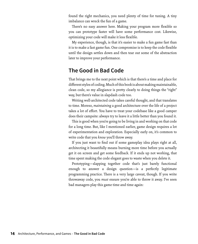found the right mechanics, you need plenty of time for tuning. A tiny imbalance can wreck the fun of a game.

There's no easy answer here. Making your program more flexible so you can prototype faster will have some performance cost. Likewise, optimizing your code will make it less flexible.

My experience, though, is that it's easier to make a fun game fast than it is to make a fast game fun. One compromise is to keep the code flexible until the design settles down and then tear out some of the abstraction later to improve your performance.

#### **The Good in Bad Code**

That brings me to the next point which is that there's a time and place for different styles of coding. Much of this book is about making maintainable, clean code, so my allegiance is pretty clearly to doing things the "right" way, but there's value in slapdash code too.

Writing well-architected code takes careful thought, and that translates to time. Moreso, *maintaining* a good architecture over the life of a project takes a lot of effort. You have to treat your codebase like a good camper does their campsite: always try to leave it a little better than you found it.

This is good when you're going to be living in and working on that code for a long time. But, like I mentioned earlier, game design requires a lot of experimentation and exploration. Especially early on, it's common to write code that you *know* you'll throw away.

If you just want to find out if some gameplay idea plays right at all, architecting it beautifully means burning more time before you actually get it on screen and get some feedback. If it ends up not working, that time spent making the code elegant goes to waste when you delete it.

Prototyping—slapping together code that's just barely functional enough to answer a design question—is a perfectly legitimate programming practice. There is a very large caveat, though. If you write throwaway code, you *must* ensure you're able to throw it away. I've seen bad managers play this game time and time again: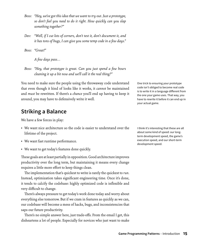- *Boss: "Hey, we've got this idea that we want to try out. Just a prototype, so don't feel you need to do it right. How quickly can you slap something together?"*
- *Dev: "Well, if I cut lots of corners, don't test it, don't document it, and it has tons of bugs, I can give you some temp code in a few days."*

*Boss: "Great!"*

*A few days pass…*

*Boss: "Hey, that prototype is great. Can you just spend a few hours cleaning it up a bit now and we'll call it the real thing?"*

You need to make sure the people using the throwaway code understand that even though it kind of looks like it works, it *cannot* be maintained and *must* be rewritten. If there's a *chance* you'll end up having to keep it around, you may have to defensively write it well.

#### **Striking a Balance**

We have a few forces in play:

- We want nice architecture so the code is easier to understand over the lifetime of the project.
- We want fast runtime performance.
- We want to get today's features done quickly.

These goals are at least partially in opposition. Good architecture improves productivity over the long term, but maintaining it means every change requires a little more effort to keep things clean.

The implementation that's quickest to write is rarely the quickest to *run*. Instead, optimization takes significant engineering time. Once it's done, it tends to calcify the codebase: highly optimized code is inflexible and very difficult to change.

There's always pressure to get today's work done today and worry about everything else tomorrow. But if we cram in features as quickly as we can, our codebase will become a mess of hacks, bugs, and inconsistencies that saps our future productivity.

There's no simple answer here, just trade-offs. From the email I get, this disheartens a lot of people. Especially for novices who just want to make

One trick to ensuring your prototype code isn't obliged to become real code is to write it in a language different from the one your game uses. That way, you have to rewrite it before it can end up in your actual game.

I think it's interesting that these are all about some kind of speed: our longterm development speed, the game's execution speed, and our short-term development speed.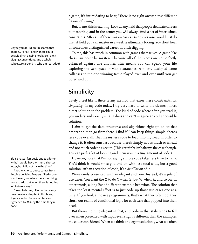a game, it's intimidating to hear, "There is no right answer, just different flavors of wrong."

But, to me, this is exciting! Look at any field that people dedicate careers to mastering, and in the center you will always find a set of intertwined constraints. After all, if there was an easy answer, everyone would just do that. A field you can master in a week is ultimately boring. You don't hear of someone's distinguished career in ditch digging.

To me, this has much in common with games themselves. A game like chess can never be mastered because all of the pieces are so perfectly balanced against one another. This means you can spend your life exploring the vast space of viable strategies. A poorly designed game collapses to the one winning tactic played over and over until you get bored and quit.

### **Simplicity**

Lately, I feel like if there is any method that eases these constraints, it's *simplicity*. In my code today, I try very hard to write the cleanest, most direct solution to the problem. The kind of code where after you read it, you understand exactly what it does and can't imagine any other possible solution.

I aim to get the data structures and algorithms right (in about that order) and then go from there. I find if I can keep things simple, there's less code overall. That means less code to load into my head in order to change it. It often runs fast because there's simply not as much overhead and not much code to execute. (This certainly isn't always the case though. You can pack a lot of looping and recursion in a tiny amount of code.)

However, note that I'm not saying simple code takes less time to *write*. You'd think it would since you end up with less total code, but a good solution isn't an accretion of code, it's a *distillation* of it.

We're rarely presented with an elegant problem. Instead, it's a pile of use cases. You want the X to do Y when Z, but W when A, and so on. In other words, a long list of different example behaviors. The solution that takes the least mental effort is to just code up those use cases one at a time. If you look at novice programmers, that's what they often do: they churn out reams of conditional logic for each case that popped into their head.

But there's nothing elegant in that, and code in that style tends to fall over when presented with input even slightly different than the examples the coder considered. When we think of elegant solutions, what we often

Maybe you do; I didn't research that analogy. For all I know, there could be avid ditch digging hobbyists, ditch digging conventions, and a whole subculture around it. Who am I to judge?

Blaise Pascal famously ended a letter with, "I would have written a shorter letter, but I did not have the time."

Another choice quote comes from Antoine de Saint-Exupery: "Perfection is achieved, not when there is nothing more to add, but when there is nothing left to take away."

Closer to home, I'll note that every time I revise a chapter in this book, it gets shorter. Some chapters are tightened by 20% by the time they're done.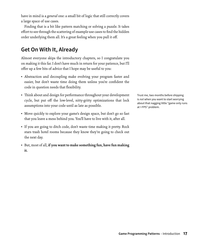have in mind is a *general* one: a small bit of logic that still correctly covers a large space of use cases.

Finding that is a bit like pattern matching or solving a puzzle. It takes effort to see through the scattering of example use cases to find the hidden order underlying them all. It's a great feeling when you pull it off.

### **Get On With It, Already**

Almost everyone skips the introductory chapters, so I congratulate you on making it this far. I don't have much in return for your patience, but I'll offer up a few bits of advice that I hope may be useful to you:

- Abstraction and decoupling make evolving your program faster and easier, but don't waste time doing them unless you're confident the code in question needs that flexibility.
- Think about and design for performance throughout your development cycle, but put off the low-level, nitty-gritty optimizations that lock assumptions into your code until as late as possible.
- Move quickly to explore your game's design space, but don't go so fast that you leave a mess behind you. You'll have to live with it, after all.
- If you are going to ditch code, don't waste time making it pretty. Rock stars trash hotel rooms because they know they're going to check out the next day.
- But, most of all, **if you want to make something fun, have fun making it.**

Trust me, two months before shipping is *not* when you want to start worrying about that nagging little "game only runs at 1 FPS" problem.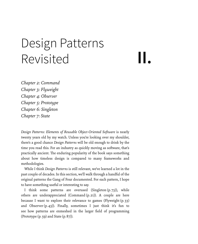# Design Patterns Revisited

**II.**

*Chapter 2: Command Chapter 3: Flyweight Chapter 4: Observer Chapter 5: Prototype Chapter 6: Singleton Chapter 7: State*

*Design Patterns: Elements of Reusable Object-Oriented Software* is nearly twenty years old by my watch. Unless you're looking over my shoulder, there's a good chance *Design Patterns* will be old enough to drink by the time you read this. For an industry as quickly moving as software, that's practically ancient. The enduring popularity of the book says something about how timeless design is compared to many frameworks and methodologies.

While I think *Design Patterns* is still relevant, we've learned a lot in the past couple of decades. In this section, we'll walk through a handful of the original patterns the Gang of Four documented. For each pattern, I hope to have something useful or interesting to say.

I think some patterns are overused (Singleton (p. 73)), while others are underappreciated (Command (p. 21)). A couple are here because I want to explore their relevance to games (Flyweight (p. 33) and Observer (p. 43)). Finally, sometimes I just think it's fun to see how patterns are enmeshed in the larger field of programming (Prototype (p. 59) and State (p. 87)).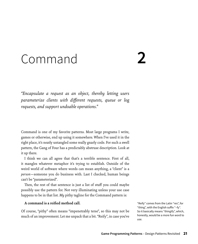### Command **2**

*"Encapsulate a request as an object, thereby letting users parameterize clients with different requests, queue or log requests, and support undoable operations."*

Command is one of my favorite patterns. Most large programs I write, games or otherwise, end up using it somewhere. When I've used it in the right place, it's neatly untangled some really gnarly code. For such a swell pattern, the Gang of Four has a predictably abstruse description. Look at it up there.

I think we can all agree that that's a terrible sentence. First of all, it mangles whatever metaphor it's trying to establish. Outside of the weird world of software where words can mean anything, a "client" is a *person*—someone you do business with. Last I checked, human beings can't be "parameterized".

Then, the rest of that sentence is just a list of stuff you could maybe possibly use the pattern for. Not very illuminating unless your use case happens to be in that list. *My* pithy tagline for the Command pattern is:

#### **A command is a reified method call.**

Of course, "pithy" often means "impenetrably terse", so this may not be much of an improvement. Let me unpack that a bit. "Reify", in case you've "Reify" comes from the Latin "res", for "thing", with the English suffix "–fy". So it basically means "thingify", which, honestly, would be a more fun word to use.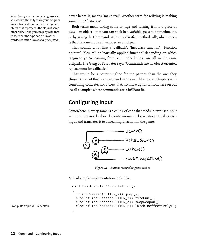*Reflection systems* in some languages let you work with the types in your program imperatively at runtime. You can get an object that represents the class of some other object, and you can play with that to see what the type can do. In other words, reflection is a *reified type system*.

never heard it, means "make real". Another term for reifying is making something "first-class".

Both terms mean taking some *concept* and turning it into a piece of *data*—an object—that you can stick in a variable, pass to a function, etc. So by saying the Command pattern is a "reified method call", what I mean is that it's a method call wrapped in an object.

That sounds a lot like a "callback", "first-class function", "function pointer", "closure", or "partially applied function" depending on which language you're coming from, and indeed those are all in the same ballpark. The Gang of Four later says: "Commands are an object-oriented replacement for callbacks."

That would be a better slugline for the pattern than the one they chose. But all of this is abstract and nebulous. I like to start chapters with something concrete, and I blew that. To make up for it, from here on out it's all examples where commands are a brilliant fit.

### **Configuring Input**

Somewhere in every game is a chunk of code that reads in raw user input — button presses, keyboard events, mouse clicks, whatever. It takes each input and translates it to a meaningful action in the game:



*Figure 2.1 – Buttons mapped to game actions*

A dead simple implementation looks like:

```
void InputHandler::handleInput()
{
   if (isPressed(BUTTON_X)) jump();
   else if (isPressed(BUTTON_Y)) fireGun();
   else if (isPressed(BUTTON_A)) swapWeapon();
   else if (isPressed(BUTTON_B)) lurchIneffectively();
}
```
Pro tip: Don't press B very often.

**22** Command – **Configuring Input**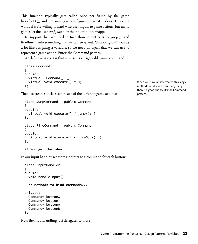This function typically gets called once per frame by the game loop (p.123), and I'm sure you can figure out what it does. This code works if we're willing to hard-wire user inputs to game actions, but many games let the user *configure* how their buttons are mapped.

To support that, we need to turn those direct calls to jump() and fireGun() into something that we can swap out. "Swapping out" sounds a lot like assigning a variable, so we need an *object* that we can use to represent a game action. Enter: the Command pattern.

We define a base class that represents a triggerable game command:

```
class Command
{
public:
  virtual ~Command() {}
  virtual void execute() = 0;
};
```
Then we create subclasses for each of the different game actions:

```
class JumpCommand : public Command
{
public:
  virtual void execute() { jump(); }
};
class FireCommand : public Command
{
public:
   virtual void execute() { fireGun(); }
};
// You get the idea...
```
In our input handler, we store a pointer to a command for each button:

```
class InputHandler
{
public:
   void handleInput();
   // Methods to bind commands...
private:
   Command* buttonX_;
   Command* buttonY_;
   Command* buttonA_;
   Command* buttonB_;
};
```
Now the input handling just delegates to those:

When you have an interface with a single method that doesn't return anything, there's a good chance it's the Command pattern.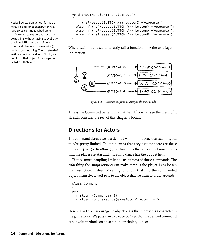Notice how we don't check for NULL here? This assumes each button will have *some* command wired up to it.

If we want to support buttons that do nothing without having to explicitly check for NULL, we can define a command class whose execute() method does nothing. Then, instead of setting a button handler to NULL, we point it to that object. This is a pattern called "Null Object."

```
void InputHandler::handleInput()
{
  if (isPressed(BUTTON X)) buttonX ->execute();
   else if (isPressed(BUTTON_Y)) buttonY_->execute();
   else if (isPressed(BUTTON_A)) buttonA_->execute();
   else if (isPressed(BUTTON_B)) buttonB_->execute();
}
```
Where each input used to directly call a function, now there's a layer of indirection.



*Figure 2.2 – Buttons mapped to assignable commands*

This is the Command pattern in a nutshell. If you can see the merit of it already, consider the rest of this chapter a bonus.

#### **Directions for Actors**

The command classes we just defined work for the previous example, but they're pretty limited. The problem is that they assume there are these top-level jump(), fireGun(), etc. functions that implicitly know how to find the player's avatar and make him dance like the puppet he is.

That assumed coupling limits the usefulness of those commands. The *only* thing the JumpCommand can make jump is the player. Let's loosen that restriction. Instead of calling functions that find the commanded object themselves, we'll *pass in* the object that we want to order around:

```
class Command
{
public:
   virtual ~Command() {}
   virtual void execute(GameActor& actor) = 0;
};
```
Here, GameActor is our "game object" class that represents a character in the game world. We pass it in to execute() so that the derived command can invoke methods on an actor of our choice, like so: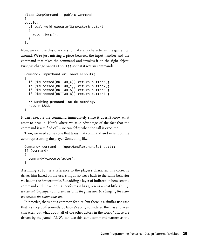```
class JumpCommand : public Command
{
public:
   virtual void execute(GameActor& actor)
 {
     actor.jump();
   }
};
```
Now, we can use this one class to make any character in the game hop around. We're just missing a piece between the input handler and the command that takes the command and invokes it on the right object. First, we change handleInput() so that it *returns* commands:

```
Command* InputHandler::handleInput()
{
   if (isPressed(BUTTON_X)) return buttonX_;
   if (isPressed(BUTTON_Y)) return buttonY_;
   if (isPressed(BUTTON_A)) return buttonA_;
   if (isPressed(BUTTON_B)) return buttonB_;
   // Nothing pressed, so do nothing.
  return NULL;
}
```
It can't execute the command immediately since it doesn't know what actor to pass in. Here's where we take advantage of the fact that the command is a reified call—we can *delay* when the call is executed.

Then, we need some code that takes that command and runs it on the actor representing the player. Something like:

```
Command* command = inputHandler.handleInput();
if (command)
{
   command->execute(actor);
}
```
Assuming actor is a reference to the player's character, this correctly drives him based on the user's input, so we're back to the same behavior we had in the first example. But adding a layer of indirection between the command and the actor that performs it has given us a neat little ability: *we can let the player control any actor in the game now by changing the actor we execute the commands on.*

In practice, that's not a common feature, but there is a similar use case that *does* pop up frequently. So far, we've only considered the player-driven character, but what about all of the other actors in the world? Those are driven by the game's AI. We can use this same command pattern as the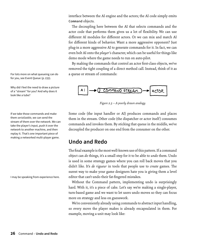interface between the AI engine and the actors; the AI code simply emits Command objects.

The decoupling here between the AI that selects commands and the actor code that performs them gives us a lot of flexibility. We can use different AI modules for different actors. Or we can mix and match AI for different kinds of behavior. Want a more aggressive opponent? Just plug-in a more aggressive AI to generate commands for it. In fact, we can even bolt AI onto the *player's* character, which can be useful for things like demo mode where the game needs to run on auto-pilot.

By making the commands that control an actor first-class objects, we've removed the tight coupling of a direct method call. Instead, think of it as a queue or stream of commands:



*Figure 2.3 – A poorly drawn analogy*

Some code (the input handler or AI) produces commands and places them in the stream. Other code (the dispatcher or actor itself) consumes commands and invokes them. By sticking that queue in the middle, we've decoupled the producer on one end from the consumer on the other.

#### **Undo and Redo**

The final example is the most well-known use of this pattern. If a command object can *do* things, it's a small step for it to be able to *undo* them. Undo is used in some strategy games where you can roll back moves that you didn't like. It's *de rigueur* in tools that people use to *create* games. The surest way to make your game designers hate you is giving them a level editor that can't undo their fat-fingered mistakes.

Without the Command pattern, implementing undo is surprisingly hard. With it, it's a piece of cake. Let's say we're making a single-player, turn-based game and we want to let users undo moves so they can focus more on strategy and less on guesswork.

We're conveniently already using commands to abstract input handling, so every move the player makes is already encapsulated in them. For example, moving a unit may look like:

For lots more on what queueing can do for you, see Event Queue (p. 233).

Why did I feel the need to draw a picture of a "stream" for you? And why does it look like a tube?

If we take those commands and make them *serializable*, we can send the stream of them over the network. We can take the player's input, push it over the network to another machine, and then replay it. That's one important piece of making a networked multi-player game.

I may be speaking from experience here.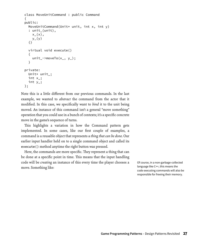```
class MoveUnitCommand : public Command
{
public:
   MoveUnitCommand(Unit* unit, int x, int y)
   : unit_(unit),
    x_-(x),
    y_-(y) {}
   virtual void execute()
   {
    unit_{--}>moveTo(x_, y_);
   }
private:
   Unit* unit_;
   int x_;
  int y_i;
};
```
Note this is a little different from our previous commands. In the last example, we wanted to *abstract* the command from the actor that it modified. In this case, we specifically want to *bind* it to the unit being moved. An instance of this command isn't a general "move something" operation that you could use in a bunch of contexts; it's a specific concrete move in the game's sequence of turns.

This highlights a variation in how the Command pattern gets implemented. In some cases, like our first couple of examples, a command is a reusable object that represents a *thing that can be done*. Our earlier input handler held on to a single command object and called its execute() method anytime the right button was pressed.

Here, the commands are more specific. They represent a thing that can be done at a specific point in time. This means that the input handling code will be *creating* an instance of this every time the player chooses a move. Something like:

Of course, in a non-garbage-collected language like C++, this means the code executing commands will also be responsible for freeing their memory.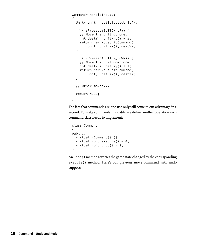```
Command* handleInput()
{
   Unit* unit = getSelectedUnit();
   if (isPressed(BUTTON_UP)) {
     // Move the unit up one.
    int destY = unit->y() - 1;
     return new MoveUnitCommand(
         unit, unit->x(), destY);
   }
   if (isPressed(BUTTON_DOWN)) {
     // Move the unit down one.
    int destY = unit->y() + 1;
     return new MoveUnitCommand(
         unit, unit->x(), destY);
   }
   // Other moves...
   return NULL;
}
```
The fact that commands are one-use-only will come to our advantage in a second. To make commands undoable, we define another operation each command class needs to implement:

```
class Command
{
public:
   virtual ~Command() {}
  virtual void execute() = 0;
   virtual void undo() = 0;
};
```
An undo() method reverses the game state changed by the corresponding execute() method. Here's our previous move command with undo support: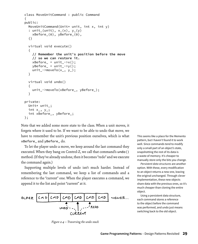```
class MoveUnitCommand : public Command
{
public:
  MoveUnitCommand(Unit* unit, int x, int y)
  : unit_(unit), x_-(x), y_-(y) xBefore_(0), yBefore_(0),
   {}
   virtual void execute()
   {
     // Remember the unit's position before the move
     // so we can restore it.
    xBefore_ = unit_->x();
    yBefore_ = unit_->y();
    unit_{-}->moveTo(x<sub>-</sub>, y<sub>-</sub>);
   }
   virtual void undo()
   {
     unit_->moveTo(xBefore_, yBefore_);
   }
private:
   Unit* unit_;
  int x_, y_;
   int xBefore_, yBefore_;
};
```
Note that we added some more state to the class. When a unit moves, it forgets where it used to be. If we want to be able to undo that move, we have to remember the unit's previous position ourselves, which is what xBefore\_ and yBefore\_ do.

To let the player undo a move, we keep around the last command they executed. When they bang on Control-Z, we call that command's undo() method. (If they've already undone, then it becomes "redo" and we execute the command again.)

Supporting multiple levels of undo isn't much harder. Instead of remembering the last command, we keep a list of commands and a reference to the "current" one. When the player executes a command, we append it to the list and point "current" at it.



*Figure 2.4 – Traversing the undo stack*

This seems like a place for the Memento pattern, but I haven't found it to work well. Since commands tend to modify only a small part of an object's state, snapshotting the rest of its data is a waste of memory. It's cheaper to manually store only the bits you change.

*Persistent data structures* are another option. With these, every modification to an object returns a new one, leaving the original unchanged. Through clever implementation, these new objects share data with the previous ones, so it's much cheaper than cloning the entire object.

Using a persistent data structure, each command stores a reference to the object before the command was performed, and undo just means switching back to the old object.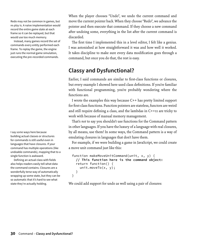Redo may not be common in games, but re-*play* is. A naïve implementation would record the entire game state at each frame so it can be replayed, but that would use too much memory.

Instead, many games record the set of commands every entity performed each frame. To replay the game, the engine just runs the normal game simulation, executing the pre-recorded commands.

I say *some* ways here because building actual classes or structures for commands is still useful even in languages that have closures. If your command has multiple operations (like undoable commands), mapping that to a single function is awkward.

Defining an actual class with fields also helps readers easily tell what data the command contains. Closures are a wonderfully terse way of automatically wrapping up some state, but they can be so automatic that it's hard to see what state they're actually holding.

When the player chooses "Undo", we undo the current command and move the current pointer back. When they choose "Redo", we advance the pointer and then execute that command. If they choose a new command after undoing some, everything in the list after the current command is discarded.

The first time I implemented this in a level editor, I felt like a genius. I was astonished at how straightforward it was and how well it worked. It takes discipline to make sure every data modification goes through a command, but once you do that, the rest is easy.

### **Classy and Dysfunctional?**

Earlier, I said commands are similar to first-class functions or closures, but every example I showed here used class definitions. If you're familiar with functional programming, you're probably wondering where the functions are.

I wrote the examples this way because C++ has pretty limited support for first-class functions. Function pointers are stateless, functors are weird and still require defining a class, and the lambdas in C++11 are tricky to work with because of manual memory management.

That's *not* to say you shouldn't use functions for the Command pattern in other languages. If you have the luxury of a language with real closures, by all means, use them! In some ways, the Command pattern is a way of emulating closures in languages that don't have them.

For example, if we were building a game in JavaScript, we could create a move unit command just like this:

```
function makeMoveUnitCommand(unit, x, y) {
   // This function here is the command object:
   return function() {
     unit.moveTo(x, y);
   }
}
```
We could add support for undo as well using a pair of closures: